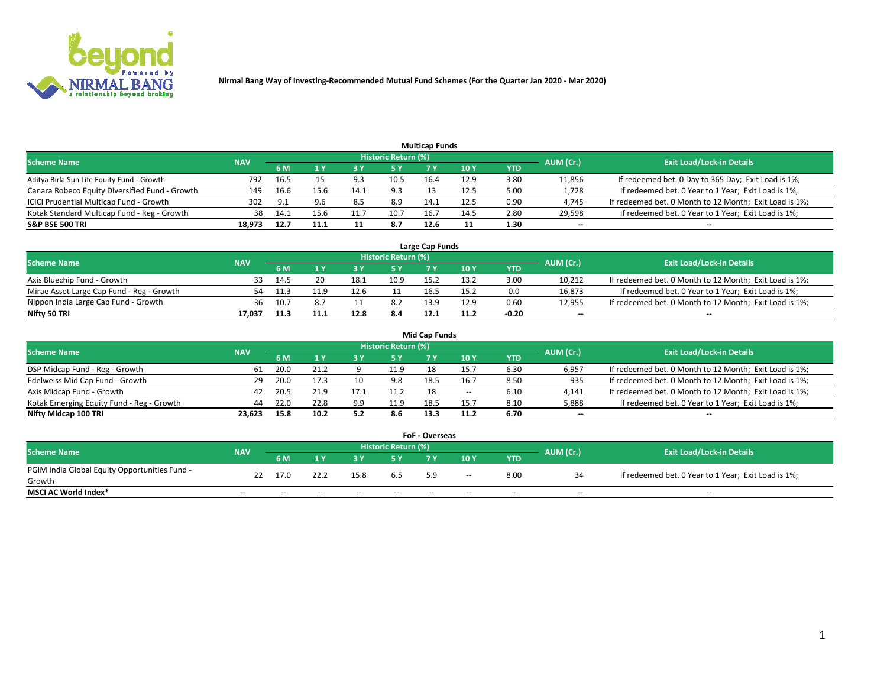

|                                                |            |      |      |            |                     | <b>Multicap Funds</b> |      |      |           |                                                        |
|------------------------------------------------|------------|------|------|------------|---------------------|-----------------------|------|------|-----------|--------------------------------------------------------|
| <b>Scheme Name</b>                             | <b>NAV</b> |      |      |            | Historic Return (%) |                       |      |      | AUM (Cr.) | <b>Exit Load/Lock-in Details</b>                       |
|                                                |            | 6 M  |      |            | 5 Y                 |                       | 10 Y | YTD  |           |                                                        |
| Aditya Birla Sun Life Equity Fund - Growth     | 792        | 16.5 |      | <b>: ۵</b> | 10.5                | 16.4                  | 12.9 | 3.80 | 11,856    | If redeemed bet. 0 Day to 365 Day; Exit Load is 1%;    |
| Canara Robeco Equity Diversified Fund - Growth | 149        | 16.6 | 15.6 | 14.1       | 9.3                 |                       | 12.5 | 5.00 | 1,728     | If redeemed bet. 0 Year to 1 Year; Exit Load is 1%;    |
| ICICI Prudential Multicap Fund - Growth        | 302        | 9.1  | 9.6  | 8.5        | 8.9                 | 14.1                  | 12.5 | 0.90 | 4,745     | If redeemed bet. 0 Month to 12 Month; Exit Load is 1%; |
| Kotak Standard Multicap Fund - Reg - Growth    | 38         | 14.1 | 15.6 |            | 10.7                | 16.                   | 14.5 | 2.80 | 29,598    | If redeemed bet. 0 Year to 1 Year; Exit Load is 1%;    |
| <b>S&amp;P BSE 500 TRI</b>                     | 18.973     | 12.7 | 11.1 |            | 8.7                 | 12.6                  |      | 1.30 | $- -$     | $-$                                                    |

| Large Cap Funds                           |            |      |      |      |                     |      |      |         |           |                                                        |  |  |  |  |
|-------------------------------------------|------------|------|------|------|---------------------|------|------|---------|-----------|--------------------------------------------------------|--|--|--|--|
| Scheme Name                               | <b>NAV</b> |      |      |      | Historic Return (%) |      |      |         | AUM (Cr.) | <b>Exit Load/Lock-in Details</b>                       |  |  |  |  |
|                                           |            | 6 M  |      |      | 5 Y                 |      | 10Y  | YTD     |           |                                                        |  |  |  |  |
| Axis Bluechip Fund - Growth               |            | 14.5 |      | 18.1 | 10.9                | 15.  | 13.2 | 3.00    | 10,212    | If redeemed bet. 0 Month to 12 Month; Exit Load is 1%; |  |  |  |  |
| Mirae Asset Large Cap Fund - Reg - Growth | 54         | 11.3 |      |      |                     | 16.5 | 15.2 | 0.0     | 16,873    | If redeemed bet. 0 Year to 1 Year; Exit Load is 1%;    |  |  |  |  |
| Nippon India Large Cap Fund - Growth      | 36         | 10.7 |      |      | 8.2                 | 12 Q | 12.9 | 0.60    | 12,955    | If redeemed bet. 0 Month to 12 Month; Exit Load is 1%; |  |  |  |  |
| Nifty 50 TRI                              | 17.037     | 11.3 | 11.1 | 12.8 | 8.4                 | 12.1 | 11.2 | $-0.20$ | $\sim$    | $-$                                                    |  |  |  |  |

|                                           |            |      |      |     |                     | <b>Mid Cap Funds</b> |       |            |           |                                                        |
|-------------------------------------------|------------|------|------|-----|---------------------|----------------------|-------|------------|-----------|--------------------------------------------------------|
| <b>Scheme Name</b>                        | <b>NAV</b> |      |      |     | Historic Return (%) |                      |       |            | AUM (Cr.) | <b>Exit Load/Lock-in Details</b>                       |
|                                           |            | 6 M  |      |     | 5 Y                 |                      | 10 Y  | <b>YTD</b> |           |                                                        |
| DSP Midcap Fund - Reg - Growth            | 61         | 20.0 |      |     | 11.9                |                      |       | 6.30       | 6,957     | If redeemed bet. 0 Month to 12 Month; Exit Load is 1%; |
| Edelweiss Mid Cap Fund - Growth           | 29.        | 20.0 |      |     | 9.8                 | 18.5                 | 16.   | 8.50       | 935       | If redeemed bet. 0 Month to 12 Month; Exit Load is 1%; |
| Axis Midcap Fund - Growth                 | 42         | 20.5 |      |     | 11.2                |                      | $- -$ | 6.10       | 4,141     | If redeemed bet. 0 Month to 12 Month; Exit Load is 1%; |
| Kotak Emerging Equity Fund - Reg - Growth | 44         | 22.0 | 22.8 | 9.9 | 11.9                | 18.5                 | 15.7  | 8.10       | 5,888     | If redeemed bet. 0 Year to 1 Year; Exit Load is 1%;    |
| Nifty Midcap 100 TRI                      | 23.623     | 15.8 | 10.2 | 5.2 | 8.6                 | 13.3                 | 11.2  | 6.70       | $\sim$    | $\sim$                                                 |

| <b>FoF - Overseas</b>                         |            |                                         |       |       |       |     |                                  |            |       |                                                     |  |  |  |
|-----------------------------------------------|------------|-----------------------------------------|-------|-------|-------|-----|----------------------------------|------------|-------|-----------------------------------------------------|--|--|--|
| <b>Scheme Name</b>                            | <b>NAV</b> | <b>Historic Return (%)</b><br>AUM (Cr.) |       |       |       |     | <b>Exit Load/Lock-in Details</b> |            |       |                                                     |  |  |  |
|                                               |            | 6 M                                     |       |       |       |     | 10Y                              | <b>YTD</b> |       |                                                     |  |  |  |
| PGIM India Global Equity Opportunities Fund - | 22         | 17.0                                    | 22.2  | 15.8  | 6.5   | 5.9 | $\sim$ $\sim$                    | 8.00       |       | If redeemed bet. 0 Year to 1 Year; Exit Load is 1%; |  |  |  |
| Growth                                        |            |                                         |       |       |       |     |                                  |            |       |                                                     |  |  |  |
| <b>MSCI AC World Index*</b>                   | $- -$      | $- -$                                   | $- -$ | $- -$ | $- -$ | --  | $- -$                            | $- -$      | $- -$ | $- -$                                               |  |  |  |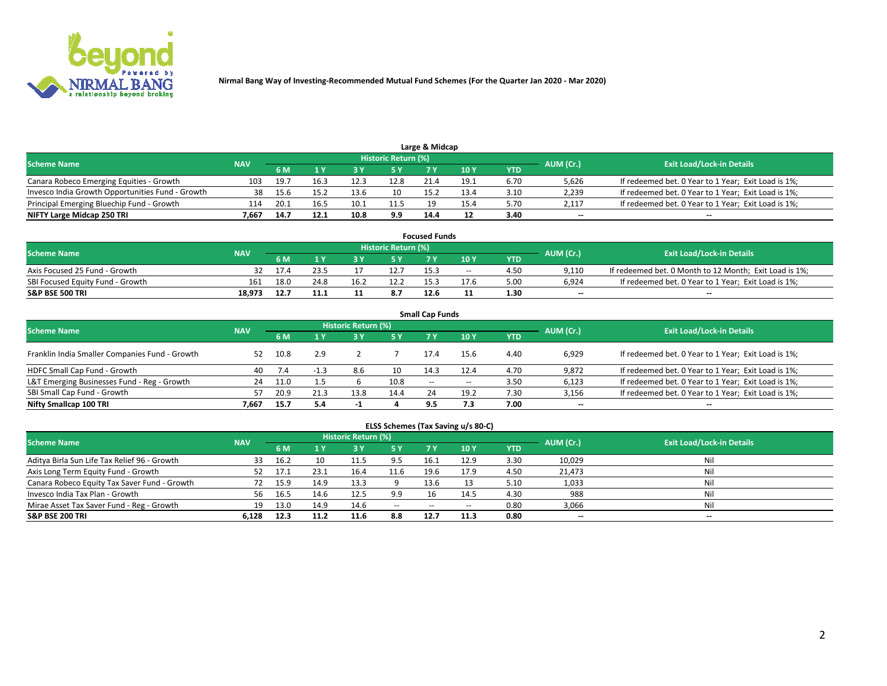

| Large & Midcap<br>Historic Return (%)            |            |      |      |      |                                  |      |      |      |                          |                                                     |  |  |  |  |
|--------------------------------------------------|------------|------|------|------|----------------------------------|------|------|------|--------------------------|-----------------------------------------------------|--|--|--|--|
| <b>Scheme Name</b>                               | <b>NAV</b> |      |      |      | <b>Exit Load/Lock-in Details</b> |      |      |      |                          |                                                     |  |  |  |  |
|                                                  |            | 6 M  |      |      | 5 Y                              |      | 10Y  | YTD. | AUM (Cr.)                |                                                     |  |  |  |  |
| Canara Robeco Emerging Equities - Growth         | 103        | 19.7 | 16.3 | 12.3 | 12.8                             | 21.4 | 19.1 | 6.70 | 5,626                    | If redeemed bet. 0 Year to 1 Year; Exit Load is 1%; |  |  |  |  |
| Invesco India Growth Opportunities Fund - Growth |            | 15.6 | L5.2 | 13.6 | 10                               | 15.2 | 13.4 | 3.10 | 2,239                    | If redeemed bet. 0 Year to 1 Year; Exit Load is 1%; |  |  |  |  |
| Principal Emerging Bluechip Fund - Growth        | 114        | 20.1 | 16.5 | 10.1 | 11.5                             |      | 15.4 | 5.70 | 2.117                    | If redeemed bet. 0 Year to 1 Year; Exit Load is 1%; |  |  |  |  |
| NIFTY Large Midcap 250 TRI                       | 7.667      | 14.7 | 12.1 | 10.8 | 9.9                              | 14.4 |      | 3.40 | $\overline{\phantom{a}}$ | $- -$                                               |  |  |  |  |

| <b>Focused Funds</b>             |            |      |      |  |                     |      |       |      |           |                                                        |  |  |  |
|----------------------------------|------------|------|------|--|---------------------|------|-------|------|-----------|--------------------------------------------------------|--|--|--|
| <b>Scheme Name</b>               | <b>NAV</b> |      |      |  | Historic Return (%) |      |       |      |           | <b>Exit Load/Lock-in Details</b>                       |  |  |  |
|                                  |            | 6 M  |      |  |                     |      | 10 Y  | YTD  | AUM (Cr.) |                                                        |  |  |  |
| Axis Focused 25 Fund - Growth    |            |      |      |  | 12.7                | 15.3 | $- -$ | 4.50 | 9.110     | If redeemed bet. 0 Month to 12 Month; Exit Load is 1%; |  |  |  |
| SBI Focused Equity Fund - Growth | 161        | 18.0 | 24.8 |  | 12.2                | 15.7 | 17.6  | 5.00 | 6.924     | If redeemed bet. 0 Year to 1 Year; Exit Load is 1%;    |  |  |  |
| <b>S&amp;P BSE 500 TRI</b>       | 18.973     |      | 11.1 |  | 8.7                 | 12.6 |       | 1.30 | $\sim$    | $- -$                                                  |  |  |  |

| <b>Small Cap Funds</b>                         |            |      |      |                     |      |        |       |      |           |                                                     |  |  |  |  |
|------------------------------------------------|------------|------|------|---------------------|------|--------|-------|------|-----------|-----------------------------------------------------|--|--|--|--|
| <b>Scheme Name</b>                             | <b>NAV</b> |      |      | Historic Return (%) |      |        |       |      |           | <b>Exit Load/Lock-in Details</b>                    |  |  |  |  |
|                                                |            | 6 M  |      | 3Y                  | 5 Y  | 7 Y    | 10Y   | YTD  | AUM (Cr.) |                                                     |  |  |  |  |
| Franklin India Smaller Companies Fund - Growth | 52         | 10.8 | 2.9  |                     |      | 17.4   | 15.6  | 4.40 | 6,929     | If redeemed bet. 0 Year to 1 Year; Exit Load is 1%; |  |  |  |  |
| HDFC Small Cap Fund - Growth                   | 40         |      |      | 8.6                 | 10   | 14.3   | 12.4  | 4.70 | 9,872     | If redeemed bet. 0 Year to 1 Year; Exit Load is 1%; |  |  |  |  |
| L&T Emerging Businesses Fund - Reg - Growth    | 24         | 11.0 |      |                     | 10.8 | $\sim$ | $- -$ | 3.50 | 6,123     | If redeemed bet. 0 Year to 1 Year; Exit Load is 1%; |  |  |  |  |
| SBI Small Cap Fund - Growth                    | 57         | 20.9 | 21.3 | 13.8                | 14.4 |        | 19.2  | 7.30 | 3,156     | If redeemed bet. 0 Year to 1 Year; Exit Load is 1%; |  |  |  |  |
| Nifty Smallcap 100 TRI                         | 7.667      | 15.7 | 5.4  | - 1                 |      | 9.5    | 7.3   | 7.00 | $\sim$    | $- -$                                               |  |  |  |  |

## **ELSS Schemes (Tax Saving u/s 80-C)**

| <b>Scheme Name</b>                           | <b>NAV</b> |      |      | <b>Historic Return (%)</b> |           |       |        |      | AUM (Cr.) | <b>Exit Load/Lock-in Details</b> |
|----------------------------------------------|------------|------|------|----------------------------|-----------|-------|--------|------|-----------|----------------------------------|
|                                              |            | 6 M  | 4 Y  | <b>3 Y</b>                 | <b>5Y</b> | 7 Y   | $-10V$ | YTD  |           |                                  |
| Aditya Birla Sun Life Tax Relief 96 - Growth |            | 16.2 |      | 11.5                       | 9.5       | 16.1  | 12.9   | 3.30 | 10,029    | Nil                              |
| Axis Long Term Equity Fund - Growth          | 52.        | 17.1 | 23.1 | 16.4                       | 11.6      | 19.6  | 17.9   | 4.50 | 21,473    | Nil                              |
| Canara Robeco Equity Tax Saver Fund - Growth |            |      | 14.9 | 13.3                       |           | 13.6  |        | 5.10 | 1,033     | Nil                              |
| Invesco India Tax Plan - Growth              | 56         | 16.5 | 14.6 | 12.5                       | 9.9       | 16    | 14.5   | 4.30 | 988       | Nil                              |
| Mirae Asset Tax Saver Fund - Reg - Growth    | 19         | 13.0 | 14.9 | 14.6                       | $\sim$    | $- -$ | --     | 0.80 | 3,066     | Nil                              |
| <b>S&amp;P BSE 200 TRI</b>                   | 6.128      | 12.3 | 11.2 | 11.6                       | 8.8       | 12.7  | 11.3   | 0.80 | $-$       | $- -$                            |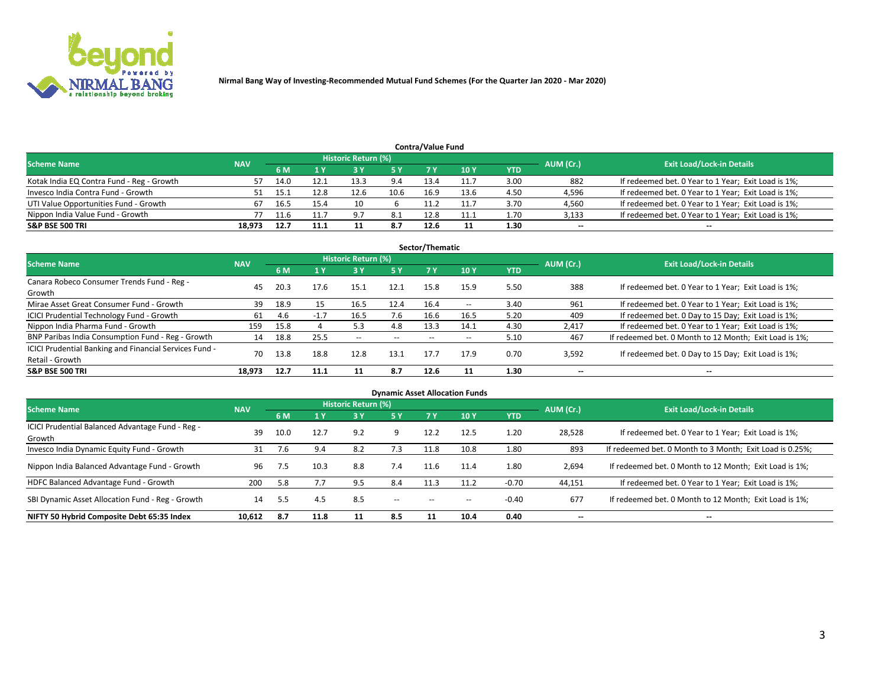

| <b>Contra/Value Fund</b><br>Historic Return (%) |            |      |      |      |      |      |      |      |           |                                                     |  |  |  |
|-------------------------------------------------|------------|------|------|------|------|------|------|------|-----------|-----------------------------------------------------|--|--|--|
| <b>Scheme Name</b>                              | <b>NAV</b> | 6 M  |      |      | 5 Y  | 7 Y  | 10Y  | YTD  | AUM (Cr.) | <b>Exit Load/Lock-in Details</b>                    |  |  |  |
| Kotak India EQ Contra Fund - Reg - Growth       |            | 14.0 | 12.1 | 13.3 | 9.4  | 13.4 | 11.7 | 3.00 | 882       | If redeemed bet. 0 Year to 1 Year; Exit Load is 1%; |  |  |  |
| Invesco India Contra Fund - Growth              |            |      | L2.8 |      | 10.6 | 16.9 | 13.6 | 4.50 | 4,596     | If redeemed bet. 0 Year to 1 Year; Exit Load is 1%; |  |  |  |
| UTI Value Opportunities Fund - Growth           | 67         | 16.5 | 15.4 | 10   |      |      | 11.7 | 3.70 | 4,560     | If redeemed bet. 0 Year to 1 Year; Exit Load is 1%; |  |  |  |
| Nippon India Value Fund - Growth                |            |      |      | 9.7  | 8.1  | 12.8 | 11.1 | 1.70 | 3,133     | If redeemed bet. 0 Year to 1 Year; Exit Load is 1%; |  |  |  |
| <b>S&amp;P BSE 500 TRI</b>                      | 18.973     | 12.7 | 11.1 |      | 8.7  | 12.6 |      | 1.30 | $\sim$    | $- -$                                               |  |  |  |

|                                                                           |            |      |          |                     |       | Sector/Thematic |               |            |                          |                                                        |
|---------------------------------------------------------------------------|------------|------|----------|---------------------|-------|-----------------|---------------|------------|--------------------------|--------------------------------------------------------|
| <b>Scheme Name</b>                                                        | <b>NAV</b> |      |          | Historic Return (%) |       |                 |               |            | AUM (Cr.)                | <b>Exit Load/Lock-in Details</b>                       |
|                                                                           |            | 6 M  | 1 Y      | <b>3 Y</b>          | 5 Y   | 7 Y             | 10Y           | <b>YTD</b> |                          |                                                        |
| Canara Robeco Consumer Trends Fund - Reg -<br>Growth                      | 45         | 20.3 | 17.6     | 15.1                | 12.1  | 15.8            | 15.9          | 5.50       | 388                      | If redeemed bet. 0 Year to 1 Year; Exit Load is 1%;    |
| Mirae Asset Great Consumer Fund - Growth                                  | 39         | 18.9 | 15       | 16.5                | 12.4  | 16.4            | $\sim$ $\sim$ | 3.40       | 961                      | If redeemed bet. 0 Year to 1 Year; Exit Load is 1%;    |
| ICICI Prudential Technology Fund - Growth                                 | 61         | 4.6  | $-1$ $7$ | 16.5                | 7.6   | 16.6            | 16.5          | 5.20       | 409                      | If redeemed bet. 0 Day to 15 Day; Exit Load is 1%;     |
| Nippon India Pharma Fund - Growth                                         | 159        | 15.8 |          | 5.3                 | 4.8   | 13.3            | 14.1          | 4.30       | 2.417                    | If redeemed bet. 0 Year to 1 Year; Exit Load is 1%;    |
| BNP Paribas India Consumption Fund - Reg - Growth                         | 14         | 18.8 | 25.5     | $- -$               | $- -$ | $- -$           | --            | 5.10       | 467                      | If redeemed bet. 0 Month to 12 Month; Exit Load is 1%; |
| ICICI Prudential Banking and Financial Services Fund -<br>Retail - Growth | 70         | 13.8 | 18.8     | 12.8                | 13.1  | 17.7            | 17.9          | 0.70       | 3,592                    | If redeemed bet. 0 Day to 15 Day; Exit Load is 1%;     |
| <b>S&amp;P BSE 500 TRI</b>                                                | 18,973     | 12.7 | 11.1     |                     | 8.7   | 12.6            |               | 1.30       | $\overline{\phantom{a}}$ | $- -$                                                  |

| <b>Dynamic Asset Allocation Funds</b>                      |            |      |      |                     |               |       |                          |            |                          |                                                          |  |  |  |
|------------------------------------------------------------|------------|------|------|---------------------|---------------|-------|--------------------------|------------|--------------------------|----------------------------------------------------------|--|--|--|
| <b>Scheme Name</b>                                         | <b>NAV</b> |      |      | Historic Return (%) |               |       |                          |            | AUM (Cr.)                | <b>Exit Load/Lock-in Details</b>                         |  |  |  |
|                                                            |            | 6 M  |      | 3 Y                 | 5 Y           |       | 10 <sub>Y</sub>          | <b>YTD</b> |                          |                                                          |  |  |  |
| ICICI Prudential Balanced Advantage Fund - Reg -<br>Growth | 39         | 10.0 | 12.7 | 9.2                 | 9             | 12.2  | 12.5                     | 1.20       | 28,528                   | If redeemed bet. 0 Year to 1 Year; Exit Load is 1%;      |  |  |  |
| Invesco India Dynamic Equity Fund - Growth                 | 31         | 7.6  | 9.4  | 8.2                 | 7.3           | 11.8  | 10.8                     | 1.80       | 893                      | If redeemed bet. 0 Month to 3 Month; Exit Load is 0.25%; |  |  |  |
| Nippon India Balanced Advantage Fund - Growth              | 96         | 7.5  | 10.3 | 8.8                 | 7.4           | 11.6  | 11.4                     | 1.80       | 2,694                    | If redeemed bet. 0 Month to 12 Month; Exit Load is 1%;   |  |  |  |
| HDFC Balanced Advantage Fund - Growth                      | 200        | 5.8  | 7.7  | 9.5                 | 8.4           | 11.3  | 11.2                     | $-0.70$    | 44,151                   | If redeemed bet. 0 Year to 1 Year; Exit Load is 1%;      |  |  |  |
| SBI Dynamic Asset Allocation Fund - Reg - Growth           | 14         | 5.5  | 4.5  | 8.5                 | $\sim$ $\sim$ | $- -$ | $\overline{\phantom{m}}$ | $-0.40$    | 677                      | If redeemed bet. 0 Month to 12 Month; Exit Load is 1%;   |  |  |  |
| NIFTY 50 Hybrid Composite Debt 65:35 Index                 | 10,612     | 8.7  | 11.8 | 11                  | 8.5           | 11    | 10.4                     | 0.40       | $\overline{\phantom{a}}$ | --                                                       |  |  |  |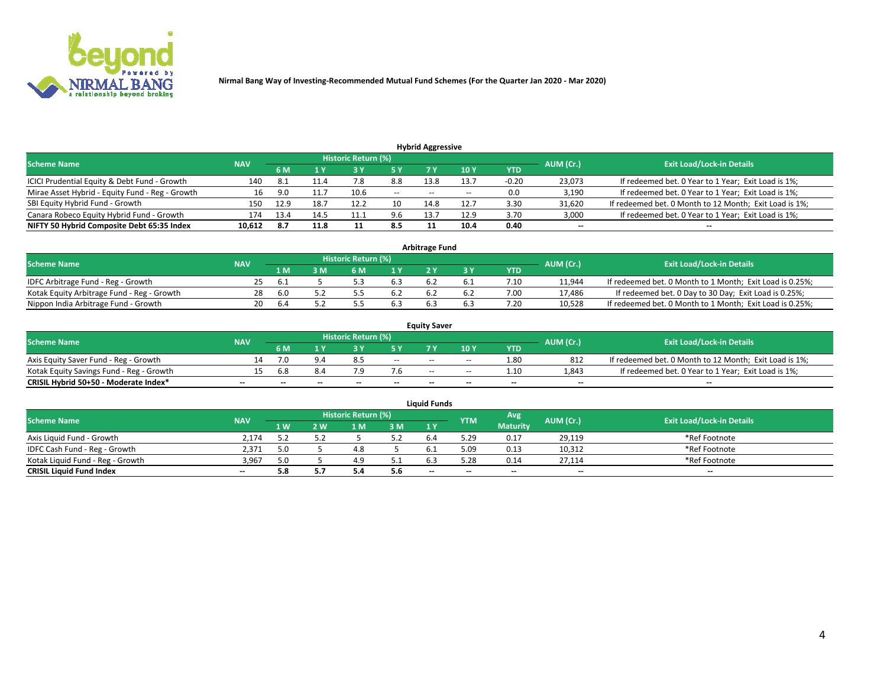

| <b>Hybrid Aggressive</b>                        |            |      |      |                            |        |                          |       |         |                          |                                                        |  |  |  |  |
|-------------------------------------------------|------------|------|------|----------------------------|--------|--------------------------|-------|---------|--------------------------|--------------------------------------------------------|--|--|--|--|
| <b>Scheme Name</b>                              | <b>NAV</b> |      |      | <b>Historic Return (%)</b> |        |                          |       |         | AUM (Cr.)                | <b>Exit Load/Lock-in Details</b>                       |  |  |  |  |
|                                                 |            | 6 M  |      |                            |        |                          | 10Y   | YTD     |                          |                                                        |  |  |  |  |
| ICICI Prudential Equity & Debt Fund - Growth    | 140        | 8.1  | 11.4 |                            | 8.8    | 13.8                     | 13.7  | $-0.20$ | 23,073                   | If redeemed bet. 0 Year to 1 Year; Exit Load is 1%;    |  |  |  |  |
| Mirae Asset Hybrid - Equity Fund - Reg - Growth | 16         | 9.0  | 11.7 | 10.6                       | $\sim$ | $\overline{\phantom{a}}$ | $- -$ | 0.0     | 3,190                    | If redeemed bet. 0 Year to 1 Year; Exit Load is 1%;    |  |  |  |  |
| SBI Equity Hybrid Fund - Growth                 | 150        | 12.9 | 18.7 | 12.7                       | 10     | 14.8                     | 12.7  | 3.30    | 31,620                   | If redeemed bet. 0 Month to 12 Month; Exit Load is 1%; |  |  |  |  |
| Canara Robeco Equity Hybrid Fund - Growth       | 174        | 13.4 | 14.5 | 11.1                       | 9.6    | 13.7                     | 12.9  | 3.70    | 3,000                    | If redeemed bet. 0 Year to 1 Year; Exit Load is 1%;    |  |  |  |  |
| NIFTY 50 Hybrid Composite Debt 65:35 Index      | 10,612     | -8.7 | 11.8 |                            | 8.5    |                          | 10.4  | 0.40    | $\overline{\phantom{a}}$ | $- -$                                                  |  |  |  |  |

|                                            |            |           |                                  |                | Arbitrage Fund |     |            |        |                                                          |
|--------------------------------------------|------------|-----------|----------------------------------|----------------|----------------|-----|------------|--------|----------------------------------------------------------|
| <b>Scheme Name</b>                         | <b>NAV</b> | AUM (Cr.) | <b>Exit Load/Lock-in Details</b> |                |                |     |            |        |                                                          |
|                                            |            | l M       | <b>M</b>                         | 1 <sub>V</sub> |                |     | <b>YTD</b> |        |                                                          |
| IDFC Arbitrage Fund - Reg - Growth         | 25         | . ხ.ა     |                                  |                |                |     | 7.10       | 11,944 | If redeemed bet. 0 Month to 1 Month; Exit Load is 0.25%; |
| Kotak Equity Arbitrage Fund - Reg - Growth | 28         | -6.0      |                                  | 6.2            |                | b.4 | 7.00       | 17,486 | If redeemed bet. 0 Day to 30 Day; Exit Load is 0.25%;    |
| Nippon India Arbitrage Fund - Growth       | 20         | . ხ.      |                                  |                |                |     | .20        | 10.528 | If redeemed bet. 0 Month to 1 Month; Exit Load is 0.25%; |

|                                          | <b>Equity Saver</b> |           |                                  |                          |                          |        |               |            |                          |                                                        |  |  |  |  |  |
|------------------------------------------|---------------------|-----------|----------------------------------|--------------------------|--------------------------|--------|---------------|------------|--------------------------|--------------------------------------------------------|--|--|--|--|--|
| Scheme Name                              | <b>NAV</b>          | AUM (Cr.) | <b>Exit Load/Lock-in Details</b> |                          |                          |        |               |            |                          |                                                        |  |  |  |  |  |
|                                          |                     | 6 M       |                                  |                          | 5 Y                      |        | $\sqrt{10}$ Y | <b>YTD</b> |                          |                                                        |  |  |  |  |  |
| Axis Equity Saver Fund - Reg - Growth    |                     | 7.0       |                                  |                          | $\sim$                   | $- -$  | $- -$         | 1.80       | 812                      | If redeemed bet. 0 Month to 12 Month; Exit Load is 1%; |  |  |  |  |  |
| Kotak Equity Savings Fund - Reg - Growth |                     | 6.8       |                                  |                          |                          | $- -$  | $- -$         | 1.10       | 1,843                    | If redeemed bet. 0 Year to 1 Year; Exit Load is 1%;    |  |  |  |  |  |
| CRISIL Hybrid 50+50 - Moderate Index*    |                     | $- -$     | $-$                              | $\overline{\phantom{a}}$ | $\overline{\phantom{a}}$ | $\sim$ | --            | $\sim$     | $\overline{\phantom{a}}$ | $- -$                                                  |  |  |  |  |  |

| <b>Liquid Funds</b>              |            |     |     |                            |     |                                                |            |                 |           |                                  |  |  |  |  |
|----------------------------------|------------|-----|-----|----------------------------|-----|------------------------------------------------|------------|-----------------|-----------|----------------------------------|--|--|--|--|
| Scheme Name                      | <b>NAV</b> |     |     | <b>Historic Return (%)</b> |     |                                                | <b>YTM</b> | Avg             | AUM (Cr.) | <b>Exit Load/Lock-in Details</b> |  |  |  |  |
|                                  |            | 1 W | 2 W | 1 M                        | 3N  | 1 Y                                            |            | <b>Maturity</b> |           |                                  |  |  |  |  |
| Axis Liquid Fund - Growth        | 2.174      |     |     |                            | 57  |                                                | 29،        | 0.17            | 29,119    | *Ref Footnote                    |  |  |  |  |
| IDFC Cash Fund - Reg - Growth    | 2.371      |     |     |                            |     |                                                | 5.09       | 0.13            | 10,312    | *Ref Footnote                    |  |  |  |  |
| Kotak Liquid Fund - Reg - Growth | 3.967      |     |     | 4.5                        |     |                                                | 5.28       | 0.14            | 27.114    | *Ref Footnote                    |  |  |  |  |
| <b>CRISIL Liquid Fund Index</b>  | $\sim$     | 5.8 |     | 5.4                        | 5.6 | $\hspace{0.1mm}-\hspace{0.1mm}-\hspace{0.1mm}$ | --         | $\sim$          | $\sim$    | $\sim$                           |  |  |  |  |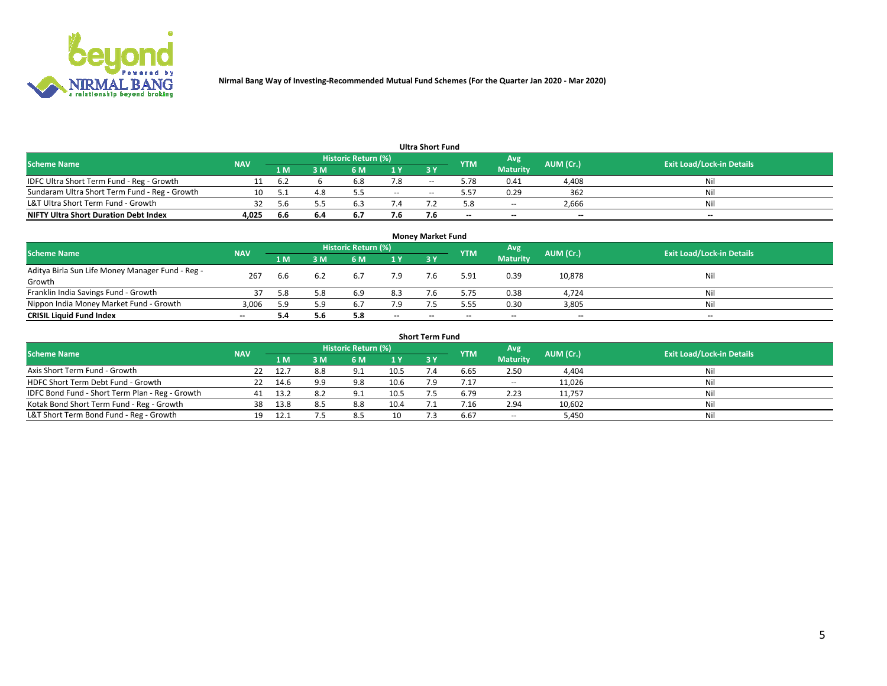

| <b>Ultra Short Fund</b>                       |            |      |     |                     |       |       |            |                 |           |                                  |  |  |  |  |
|-----------------------------------------------|------------|------|-----|---------------------|-------|-------|------------|-----------------|-----------|----------------------------------|--|--|--|--|
| <b>Scheme Name</b>                            | <b>NAV</b> |      |     | Historic Return (%) |       |       | <b>YTM</b> | Avg             | AUM (Cr.) | <b>Exit Load/Lock-in Details</b> |  |  |  |  |
|                                               |            | 1 M  | 3 M | 6 M                 | 1 Y   | 3 Y   |            | <b>Maturity</b> |           |                                  |  |  |  |  |
| IDFC Ultra Short Term Fund - Reg - Growth     |            | -6.2 |     | 6.8                 | 7.8   | $- -$ | 5.78       | 0.41            | 4,408     | Nil                              |  |  |  |  |
| Sundaram Ultra Short Term Fund - Reg - Growth |            |      | 4.8 |                     | $- -$ |       | 5.57       | 0.29            | 362       | Nil                              |  |  |  |  |
| L&T Ultra Short Term Fund - Growth            |            | 56   |     |                     |       |       | 5.8        | $- -$           | 2,666     | Nil                              |  |  |  |  |
| <b>NIFTY Ultra Short Duration Debt Index</b>  | 4.025      | -6.6 | 6.4 | <b>D.</b>           | 7.6   |       | $\sim$     | $\sim$          | $\sim$    | $- -$                            |  |  |  |  |

| <b>Money Market Fund</b>                         |            |     |     |                     |        |     |            |                 |           |                                  |  |  |  |
|--------------------------------------------------|------------|-----|-----|---------------------|--------|-----|------------|-----------------|-----------|----------------------------------|--|--|--|
| <b>Scheme Name</b>                               | <b>NAV</b> |     |     | Historic Return (%) |        |     | <b>YTM</b> | 'Avg            | AUM (Cr.) | <b>Exit Load/Lock-in Details</b> |  |  |  |
|                                                  |            | 1 M | 3 M | 6 M                 | 1 Y    | 3Y  |            | <b>Maturity</b> |           |                                  |  |  |  |
| Aditya Birla Sun Life Money Manager Fund - Reg - | 267        | 6.6 |     | 6.7                 | 7.9    | 7.6 | 5.91       | 0.39            | 10,878    | Nil                              |  |  |  |
| Growth                                           |            |     |     |                     |        |     |            |                 |           |                                  |  |  |  |
| Franklin India Savings Fund - Growth             |            | 5.8 | 5.8 | 6.9                 | 8.3    |     | 5.75       | 0.38            | 4,724     | Nil                              |  |  |  |
| Nippon India Money Market Fund - Growth          | 3,006      | 5.9 | 5.9 | 6.7                 | 7.9    |     | 5.55       | 0.30            | 3,805     | Nil                              |  |  |  |
| <b>CRISIL Liquid Fund Index</b>                  | $- -$      |     | 5.6 | 5.8                 | $\sim$ | --  | --         | $\sim$          | $\sim$    | $\sim$                           |  |  |  |

| <b>Short Term Fund</b>                          |            |      |     |                     |      |           |            |                 |           |                                  |  |  |  |  |
|-------------------------------------------------|------------|------|-----|---------------------|------|-----------|------------|-----------------|-----------|----------------------------------|--|--|--|--|
| <b>Scheme Name</b>                              | <b>NAV</b> |      |     | Historic Return (%) |      |           | <b>YTM</b> | Avg             | AUM (Cr.) | <b>Exit Load/Lock-in Details</b> |  |  |  |  |
|                                                 |            | 1 M  | 3 M | 6 M                 | 1Y   | <b>3Y</b> |            | <b>Maturity</b> |           |                                  |  |  |  |  |
| Axis Short Term Fund - Growth                   |            | 12.7 | 8.8 | 9.1                 | 10.5 |           | 6.65       | 2.50            | 4,404     | Nil                              |  |  |  |  |
| HDFC Short Term Debt Fund - Growth              | 22         | 14.6 | 9.9 | 9.8                 | 10.6 |           | 7.17       | $\sim$          | 11,026    | Nil                              |  |  |  |  |
| IDFC Bond Fund - Short Term Plan - Reg - Growth | 41         | 13.2 | 8.2 | ∩ ^                 | 10.5 |           | 6.79       | 2.23            | 11,757    | Nil                              |  |  |  |  |
| Kotak Bond Short Term Fund - Reg - Growth       | 38         | 13.8 | 8.5 | 8.8                 | 10.4 |           |            | 2.94            | 10,602    | Nil                              |  |  |  |  |
| L&T Short Term Bond Fund - Reg - Growth         |            |      |     | 8.5                 | 10   |           | 6.67       | $- -$           | 5,450     | Nil                              |  |  |  |  |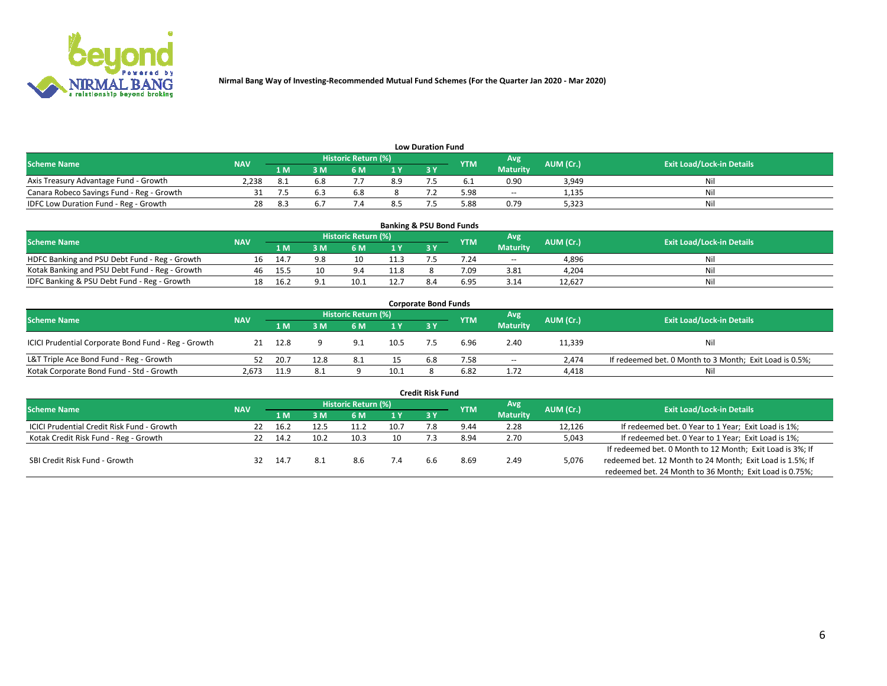

| <b>Low Duration Fund</b>                  |            |      |     |                            |     |    |            |                 |           |                                  |  |  |  |  |
|-------------------------------------------|------------|------|-----|----------------------------|-----|----|------------|-----------------|-----------|----------------------------------|--|--|--|--|
| <b>Scheme Name</b>                        | <b>NAV</b> |      |     | <b>Historic Return (%)</b> |     |    | <b>YTM</b> | Avg             | AUM (Cr.) | <b>Exit Load/Lock-in Details</b> |  |  |  |  |
|                                           |            | 1 M' | sм  |                            | 1 V | эv |            | <b>Maturity</b> |           |                                  |  |  |  |  |
| Axis Treasury Advantage Fund - Growth     | 238        |      | 6.8 |                            | 8.9 |    |            | 0.90            | 3,949     | Nil                              |  |  |  |  |
| Canara Robeco Savings Fund - Reg - Growth |            |      |     | <b>b.8</b>                 |     |    | 5.98       | $- -$           | 1.135     | Nil                              |  |  |  |  |
| IDFC Low Duration Fund - Reg - Growth     | 28         |      |     |                            |     |    | 5.88       | 0.79            | 5.323     | Nil                              |  |  |  |  |

| <b>Banking &amp; PSU Bond Funds</b>            |            |      |     |                     |                                |           |      |                                  |        |     |  |  |  |  |
|------------------------------------------------|------------|------|-----|---------------------|--------------------------------|-----------|------|----------------------------------|--------|-----|--|--|--|--|
| <b>Scheme Name</b>                             | <b>NAV</b> |      |     | Historic Return (%) | Avg<br>AUM (Cr.)<br><b>YTM</b> |           |      | <b>Exit Load/Lock-in Details</b> |        |     |  |  |  |  |
|                                                |            | 1 M' | sм  | 6 M                 | 71 Y                           | <b>2V</b> |      | <b>Maturity</b>                  |        |     |  |  |  |  |
| HDFC Banking and PSU Debt Fund - Reg - Growth  |            |      | 9.8 | 10                  | 11.3                           |           | 7.24 | $\sim$ $\sim$                    | 4,896  | Nil |  |  |  |  |
| Kotak Banking and PSU Debt Fund - Reg - Growth | 46         | 15.5 |     | $Q \Lambda$         | 11.8                           |           | 7.09 | 3.81                             | 4.204  | Nil |  |  |  |  |
| IDFC Banking & PSU Debt Fund - Reg - Growth    |            | 16.2 |     |                     | 12.7                           |           | 6.95 | 3.14                             | 12.627 | Nil |  |  |  |  |

| <b>Corporate Bond Funds</b>                         |            |      |                                          |            |      |     |      |                 |           |                                                         |  |  |  |
|-----------------------------------------------------|------------|------|------------------------------------------|------------|------|-----|------|-----------------|-----------|---------------------------------------------------------|--|--|--|
| <b>Scheme Name</b>                                  | <b>NAV</b> |      | Historic Return (%)<br>Avg<br><b>YTM</b> |            |      |     |      |                 | AUM (Cr.) | <b>Exit Load/Lock-in Details</b>                        |  |  |  |
|                                                     |            | 1 M  | 8 M                                      | 6 M        | 1 Y  | 3 Y |      | <b>Maturity</b> |           |                                                         |  |  |  |
| ICICI Prudential Corporate Bond Fund - Reg - Growth |            | 12.8 |                                          | $\Omega$ 1 | 10.5 |     | 6.96 | 2.40            | 11,339    | Nil                                                     |  |  |  |
| L&T Triple Ace Bond Fund - Reg - Growth             |            | 20.7 | 12.8                                     | - 8.1      |      | 6.8 | 7.58 | $\sim$          | 2.474     | If redeemed bet. 0 Month to 3 Month; Exit Load is 0.5%; |  |  |  |
| Kotak Corporate Bond Fund - Std - Growth            | 2,673      | 11.9 | -8.1                                     |            | 10.1 |     | 6.82 | 1.72            | 4,418     | Nil                                                     |  |  |  |

| <b>Credit Risk Fund</b>                           |            |      |      |                            |      |     |            |                 |           |                                                           |  |  |  |
|---------------------------------------------------|------------|------|------|----------------------------|------|-----|------------|-----------------|-----------|-----------------------------------------------------------|--|--|--|
| <b>Scheme Name</b>                                | <b>NAV</b> |      |      | <b>Historic Return (%)</b> |      |     | <b>YTM</b> | 'Avg            | AUM (Cr.) | <b>Exit Load/Lock-in Details</b>                          |  |  |  |
|                                                   |            | 1 M  | 3 M  | 6 M                        | 1 Y  | 3Y  |            | <b>Maturity</b> |           |                                                           |  |  |  |
| <b>ICICI Prudential Credit Risk Fund - Growth</b> | 22         | 16.2 |      |                            | 10.7 |     | 9.44       | 2.28            | 12,126    | If redeemed bet. 0 Year to 1 Year; Exit Load is 1%;       |  |  |  |
| Kotak Credit Risk Fund - Reg - Growth             |            | 14.2 | 10.2 | 10.3                       | 10   |     | 8.94       | 2.70            | 5,043     | If redeemed bet. 0 Year to 1 Year; Exit Load is 1%;       |  |  |  |
|                                                   |            |      |      |                            |      |     |            |                 |           | If redeemed bet. 0 Month to 12 Month; Exit Load is 3%; If |  |  |  |
| SBI Credit Risk Fund - Growth                     | 32         | 14.7 | 8.1  | 8.6                        |      | h.h | 8.69       | 2.49            | 5,076     | redeemed bet. 12 Month to 24 Month; Exit Load is 1.5%; If |  |  |  |
|                                                   |            |      |      |                            |      |     |            |                 |           | redeemed bet. 24 Month to 36 Month; Exit Load is 0.75%;   |  |  |  |